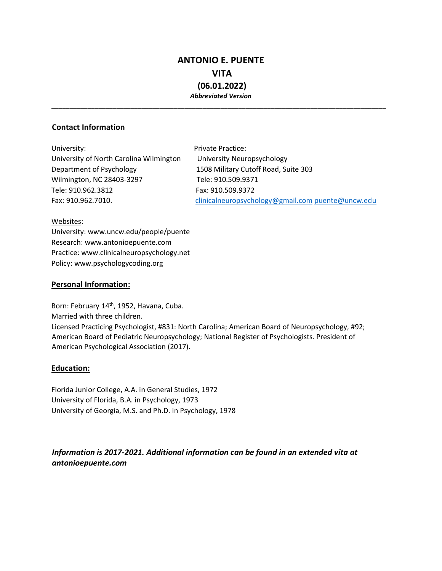# **ANTONIO E. PUENTE VITA (06.01.2022)**  *Abbreviated Version*

*\_\_\_\_\_\_\_\_\_\_\_\_\_\_\_\_\_\_\_\_\_\_\_\_\_\_\_\_\_\_\_\_\_\_\_\_\_\_\_\_\_\_\_\_\_\_\_\_\_\_\_\_\_\_\_\_\_\_\_\_\_\_\_\_\_\_\_\_\_\_\_\_\_\_\_\_\_\_\_\_\_\_\_\_\_\_\_\_\_\_\_\_\_* 

# **Contact Information**

| University:                             | Private Practice:                                 |
|-----------------------------------------|---------------------------------------------------|
| University of North Carolina Wilmington | University Neuropsychology                        |
| Department of Psychology                | 1508 Military Cutoff Road, Suite 303              |
| Wilmington, NC 28403-3297               | Tele: 910.509.9371                                |
| Tele: 910.962.3812                      | Fax: 910.509.9372                                 |
| Fax: 910.962.7010.                      | clinicalneuropsychology@gmail.com puente@uncw.edu |
|                                         |                                                   |

#### Websites:

University: www.uncw.edu/people/puente Research: www.antonioepuente.com Practice: www.clinicalneuropsychology.net Policy: www.psychologycoding.org

## **Personal Information:**

Born: February 14<sup>th</sup>, 1952, Havana, Cuba. Married with three children. Licensed Practicing Psychologist, #831: North Carolina; American Board of Neuropsychology, #92; American Board of Pediatric Neuropsychology; National Register of Psychologists. President of American Psychological Association (2017).

# **Education:**

Florida Junior College, A.A. in General Studies, 1972 University of Florida, B.A. in Psychology, 1973 University of Georgia, M.S. and Ph.D. in Psychology, 1978

# *Information is 2017-2021. Additional information can be found in an extended vita at antonioepuente.com*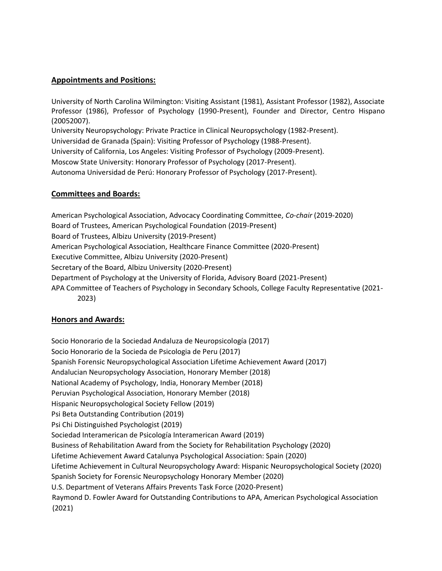## **Appointments and Positions:**

University of North Carolina Wilmington: Visiting Assistant (1981), Assistant Professor (1982), Associate Professor (1986), Professor of Psychology (1990-Present), Founder and Director, Centro Hispano (20052007). University Neuropsychology: Private Practice in Clinical Neuropsychology (1982-Present). Universidad de Granada (Spain): Visiting Professor of Psychology (1988-Present). University of California, Los Angeles: Visiting Professor of Psychology (2009-Present). Moscow State University: Honorary Professor of Psychology (2017-Present).

Autonoma Universidad de Perú: Honorary Professor of Psychology (2017-Present).

## **Committees and Boards:**

American Psychological Association, Advocacy Coordinating Committee, *Co-chair* (2019-2020) Board of Trustees, American Psychological Foundation (2019-Present) Board of Trustees, Albizu University (2019-Present) American Psychological Association, Healthcare Finance Committee (2020-Present) Executive Committee, Albizu University (2020-Present) Secretary of the Board, Albizu University (2020-Present) Department of Psychology at the University of Florida, Advisory Board (2021-Present) APA Committee of Teachers of Psychology in Secondary Schools, College Faculty Representative (2021- 2023)

# **Honors and Awards:**

Socio Honorario de la Sociedad Andaluza de Neuropsicología (2017) Socio Honorario de la Socieda de Psicologia de Peru (2017) Spanish Forensic Neuropsychological Association Lifetime Achievement Award (2017) Andalucian Neuropsychology Association, Honorary Member (2018) National Academy of Psychology, India, Honorary Member (2018) Peruvian Psychological Association, Honorary Member (2018) Hispanic Neuropsychological Society Fellow (2019) Psi Beta Outstanding Contribution (2019) Psi Chi Distinguished Psychologist (2019) Sociedad Interamerican de Psicología Interamerican Award (2019) Business of Rehabilitation Award from the Society for Rehabilitation Psychology (2020) Lifetime Achievement Award Catalunya Psychological Association: Spain (2020) Lifetime Achievement in Cultural Neuropsychology Award: Hispanic Neuropsychological Society (2020) Spanish Society for Forensic Neuropsychology Honorary Member (2020) U.S. Department of Veterans Affairs Prevents Task Force (2020-Present) Raymond D. Fowler Award for Outstanding Contributions to APA, American Psychological Association (2021)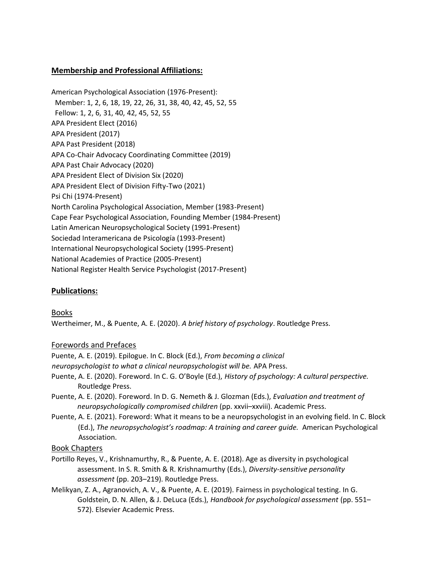# **Membership and Professional Affiliations:**

American Psychological Association (1976-Present): Member: 1, 2, 6, 18, 19, 22, 26, 31, 38, 40, 42, 45, 52, 55 Fellow: 1, 2, 6, 31, 40, 42, 45, 52, 55 APA President Elect (2016) APA President (2017) APA Past President (2018) APA Co-Chair Advocacy Coordinating Committee (2019) APA Past Chair Advocacy (2020) APA President Elect of Division Six (2020) APA President Elect of Division Fifty-Two (2021) Psi Chi (1974-Present) North Carolina Psychological Association, Member (1983-Present) Cape Fear Psychological Association, Founding Member (1984-Present) Latin American Neuropsychological Society (1991-Present) Sociedad Interamericana de Psicología (1993-Present) International Neuropsychological Society (1995-Present) National Academies of Practice (2005-Present) National Register Health Service Psychologist (2017-Present)

# **Publications:**

Books Wertheimer, M., & Puente, A. E. (2020). *A brief history of psychology*. Routledge Press.

# Forewords and Prefaces

Puente, A. E. (2019). Epilogue. In C. Block (Ed.), *From becoming a clinical neuropsychologist to what a clinical neuropsychologist will be.* APA Press.

- Puente, A. E. (2020). Foreword. In C. G. O'Boyle (Ed.), *History of psychology: A cultural perspective.*  Routledge Press.
- Puente, A. E. (2020). Foreword. In D. G. Nemeth & J. Glozman (Eds.), *Evaluation and treatment of neuropsychologically compromised children* (pp. xxvii–xxviii). Academic Press.
- Puente, A. E. (2021). Foreword: What it means to be a neuropsychologist in an evolving field. In C. Block (Ed.), *The neuropsychologist's roadmap: A training and career guide.* American Psychological Association.

# Book Chapters

- Portillo Reyes, V., Krishnamurthy, R., & Puente, A. E. (2018). Age as diversity in psychological assessment. In S. R. Smith & R. Krishnamurthy (Eds.), *Diversity-sensitive personality assessment* (pp. 203–219). Routledge Press.
- Melikyan, Z. A., Agranovich, A. V., & Puente, A. E. (2019). Fairness in psychological testing. In G. Goldstein, D. N. Allen, & J. DeLuca (Eds.), *Handbook for psychological assessment* (pp. 551– 572). Elsevier Academic Press.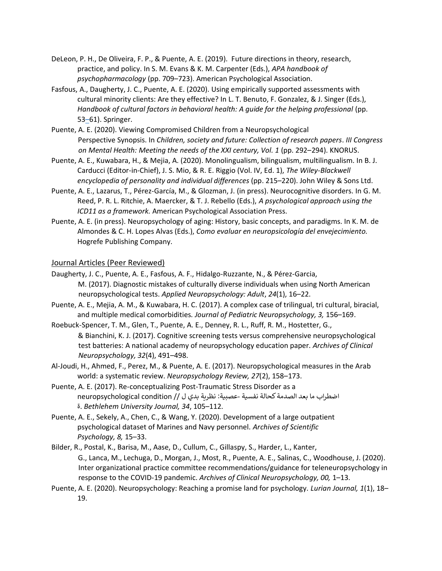- DeLeon, P. H., De Oliveira, F. P., & Puente, A. E. (2019). Future directions in theory, research, practice, and policy. In S. M. Evans & K. M. Carpenter (Eds.), *APA handbook of psychopharmacology* (pp. 709–723). American Psychological Association.
- Fasfous, A., Daugherty, J. C., Puente, A. E. (2020). Using empirically supported assessments with cultural minority clients: Are they effective? In L. T. Benuto, F. Gonzalez, & J. Singer (Eds.), *Handbook of cultural factors in behavioral health: A guide for the helping professional (pp.* 53[–](http://antonioepuente.com/wp-content/uploads/2013/01/1976.-Dolphins-Article-1976.pdf)[61](http://antonioepuente.com/wp-content/uploads/2013/01/1976.-Dolphins-Article-1976.pdf)). Springer.
- Puente, A. E. (2020). Viewing Compromised Children from a Neuropsychological Perspective Synopsis. In *Children, society and future: Collection of research papers*. *III Congress on Mental Health: Meeting the needs of the XXI century, Vol. 1* (pp. 292–294). KNORUS.
- Puente, A. E., Kuwabara, H., & Mejia, A. (2020). Monolingualism, bilingualism, multilingualism. In B. J. Carducci (Editor-in-Chief), J. S. Mio, & R. E. Riggio (Vol. IV, Ed. 1), *The Wiley-Blackwell encyclopedia of personality and individual differences* (pp. 215–220). John Wiley & Sons Ltd.
- Puente, A. E., Lazarus, T., Pérez-García, M., & Glozman, J. (in press). Neurocognitive disorders. In G. M. Reed, P. R. L. Ritchie, A. Maercker, & T. J. Rebello (Eds.), *A psychological approach using the ICD11 as a framework.* American Psychological Association Press.
- Puente, A. E. (in press). Neuropsychology of aging: History, basic concepts, and paradigms. In K. M. de Almondes & C. H. Lopes Alvas (Eds.), *Como evaluar en neuropsicología del envejecimiento.*  Hogrefe Publishing Company.

#### Journal Articles (Peer Reviewed)

- Daugherty, J. C., Puente, A. E., Fasfous, A. F., Hidalgo-Ruzzante, N., & Pérez-Garcia, M. (2017). Diagnostic mistakes of culturally diverse individuals when using North American neuropsychological tests. *Applied Neuropsychology: Adult*, *24*(1), 16–22.
- Puente, A. E., Mejia, A. M., & Kuwabara, H. C. (2017). A complex case of trilingual, tri cultural, biracial, and multiple medical comorbidities*. Journal of Pediatric Neuropsychology, 3,* 156–169.
- Roebuck-Spencer, T. M., Glen, T., Puente, A. E., Denney, R. L., Ruff, R. M., Hostetter, G., & Bianchini, K. J. (2017). Cognitive screening tests versus comprehensive neuropsychological test batteries: A national academy of neuropsychology education paper. *Archives of Clinical Neuropsychology, 32*(4), 491–498.
- Al-Joudi, H., Ahmed, F., Perez, M., & Puente, A. E. (2017). Neuropsychological measures in the Arab world: a systematic review. *Neuropsychology Review, 27*(2), 158–173.
- Puente, A. E. (2017). Re-conceptualizing Post-Traumatic Stress Disorder as a اضطراب ما بعد الصدمة كحالة نفسية - عصبية: نظرية بدي ل // condition neuropsychological ة. *Bethlehem University Journal, 34*, 105–112.
- Puente, A. E., Sekely, A., Chen, C., & Wang, Y. (2020). Development of a large outpatient psychological dataset of Marines and Navy personnel. *Archives of Scientific Psychology, 8,* 15–33.
- Bilder, R., Postal, K., Barisa, M., Aase, D., Cullum, C., Gillaspy, S., Harder, L., Kanter, G., Lanca, M., Lechuga, D., Morgan, J., Most, R., Puente, A. E., Salinas, C., Woodhouse, J. (2020). Inter organizational practice committee recommendations/guidance for teleneuropsychology in response to the COVID-19 pandemic. *Archives of Clinical Neuropsychology, 00,* 1–13.
- Puente, A. E. (2020). Neuropsychology: Reaching a promise land for psychology. *Lurian Journal, 1*(1), 18– 19.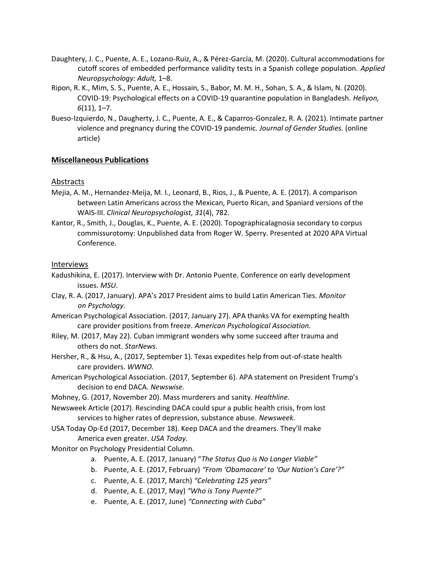- Daughtery, J. C., Puente, A. E., Lozano-Ruiz, A., & Pérez-García, M. (2020). Cultural accommodations for cutoff scores of embedded performance validity tests in a Spanish college population. *Applied Neuropsychology: Adult,* 1–8.
- Ripon, R. K., Mim, S. S., Puente, A. E., Hossain, S., Babor, M. M. H., Sohan, S. A., & Islam, N. (2020). COVID-19: Psychological effects on a COVID-19 quarantine population in Bangladesh. *Heliyon, 6*(11), 1–7.
- Bueso-Izquierdo, N., Daugherty, J. C., Puente, A. E., & Caparros-Gonzalez, R. A. (2021). Intimate partner violence and pregnancy during the COVID-19 pandemic*. Journal of Gender Studies.* (online article)

## **Miscellaneous Publications**

#### Abstracts

- Mejia, A. M., Hernandez-Meija, M. I., Leonard, B., Rios, J., & Puente, A. E. (2017). A comparison between Latin Americans across the Mexican, Puerto Rican, and Spaniard versions of the WAIS-III. *Clinical Neuropsychologist, 31*(4), 782.
- Kantor, R., Smith, J., Douglas, K., Puente, A. E. (2020). Topographicalagnosia secondary to corpus commissurotomy: Unpublished data from Roger W. Sperry. Presented at 2020 APA Virtual Conference.

#### Interviews

- Kadushikina, E. (2017). Interview with Dr. Antonio Puente. Conference on early development issues. *MSU*.
- Clay, R. A. (2017, January). APA's 2017 President aims to build Latin American Ties. *Monitor on Psychology.*
- American Psychological Association. (2017, January 27). APA thanks VA for exempting health care provider positions from freeze. *American Psychological Association.*
- Riley, M. (2017, May 22). Cuban immigrant wonders why some succeed after trauma and others do not. *StarNews.*
- Hersher, R., & Hsu, A., (2017, September 1). Texas expedites help from out-of-state health care providers. *WWNO.*
- American Psychological Association. (2017, September 6). APA statement on President Trump's decision to end DACA. *Newswise.*
- Mohney, G. (2017, November 20). Mass murderers and sanity*. Healthline.*
- Newsweek Article (2017). Rescinding DACA could spur a public health crisis, from lost services to higher rates of depression, substance abuse. *Newsweek.*
- USA Today Op-Ed (2017, December 18). Keep DACA and the dreamers. They'll make America even greater. *USA Today.*
- Monitor on Psychology Presidential Column.
	- a. Puente, A. E. (2017, January) "*The Status Quo is No Longer Viable"*
	- b. Puente, A. E. (2017, February) *"From 'Obamacare' to 'Our Nation's Care'?"*
	- c. Puente, A. E. (2017, March) *"Celebrating 125 years"*
	- d. Puente, A. E. (2017, May) *"Who is Tony Puente?"*
	- e. Puente, A. E. (2017, June) *"Connecting with Cuba"*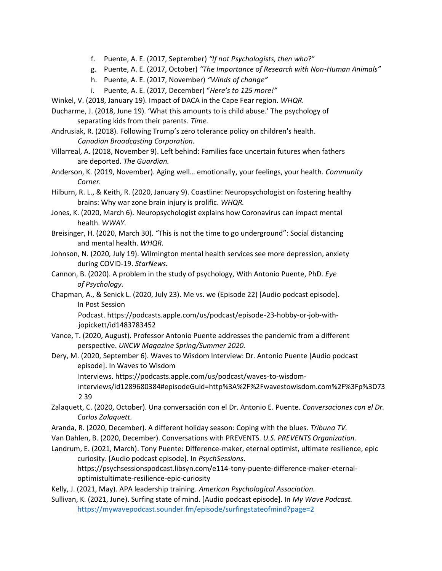- f. Puente, A. E. (2017, September) *"If not Psychologists, then who*?"
- g. Puente, A. E. (2017, October) *"The Importance of Research with Non-Human Animals"*
- h. Puente, A. E. (2017, November) *"Winds of change"*
- i. Puente, A. E. (2017, December) "*Here's to 125 more!"*
- Winkel, V. (2018, January 19). Impact of DACA in the Cape Fear region. *WHQR.*
- Ducharme, J. (2018, June 19). 'What this amounts to is child abuse.' The psychology of separating kids from their parents. *Time.*
- Andrusiak, R. (2018). Following Trump's zero tolerance policy on children's health. *Canadian Broadcasting Corporation.*
- Villarreal, A. (2018, November 9). Left behind: Families face uncertain futures when fathers are deported. *The Guardian.*
- Anderson, K. (2019, November). Aging well… emotionally, your feelings, your health. *Community Corner.*
- Hilburn, R. L., & Keith, R. (2020, January 9). Coastline: Neuropsychologist on fostering healthy brains: Why war zone brain injury is prolific. *WHQR.*
- Jones, K. (2020, March 6). Neuropsychologist explains how Coronavirus can impact mental health. *WWAY*.
- Breisinger, H. (2020, March 30). "This is not the time to go underground": Social distancing and mental health. *WHQR.*
- Johnson, N. (2020, July 19). Wilmington mental health services see more depression, anxiety during COVID-19. *StarNews.*
- Cannon, B. (2020). A problem in the study of psychology, With Antonio Puente, PhD. *Eye of Psychology.*
- Chapman, A., & Senick L. (2020, July 23). Me vs. we (Episode 22) [Audio podcast episode]. In Post Session

Podcast. https://podcasts.apple.com/us/podcast/episode-23-hobby-or-job-withjopickett/id1483783452

- Vance, T. (2020, August). Professor Antonio Puente addresses the pandemic from a different perspective. *UNCW Magazine Spring/Summer 2020.*
- Dery, M. (2020, September 6). Waves to Wisdom Interview: Dr. Antonio Puente [Audio podcast episode]. In Waves to Wisdom

Interviews. https://podcasts.apple.com/us/podcast/waves-to-wisdom-

interviews/id1289680384#episodeGuid=http%3A%2F%2Fwavestowisdom.com%2F%3Fp%3D73 2 39

- Zalaquett, C. (2020, October). Una conversación con el Dr. Antonio E. Puente. *Conversaciones con el Dr. Carlos Zalaquett.*
- Aranda, R. (2020, December). A different holiday season: Coping with the blues. *Tribuna TV.*
- Van Dahlen, B. (2020, December). Conversations with PREVENTS. *U.S. PREVENTS Organization.*
- Landrum, E. (2021, March). Tony Puente: Difference-maker, eternal optimist, ultimate resilience, epic curiosity. [Audio podcast episode]. In *PsychSessions*. https://psychsessionspodcast.libsyn.com/e114-tony-puente-difference-maker-eternal-

optimistultimate-resilience-epic-curiosity

Kelly, J. (2021, May). APA leadership training. *American Psychological Association.* 

Sullivan, K. (2021, June). Surfing state of mind. [Audio podcast episode]. In *My Wave Podcast.* <https://mywavepodcast.sounder.fm/episode/surfingstateofmind?page=2>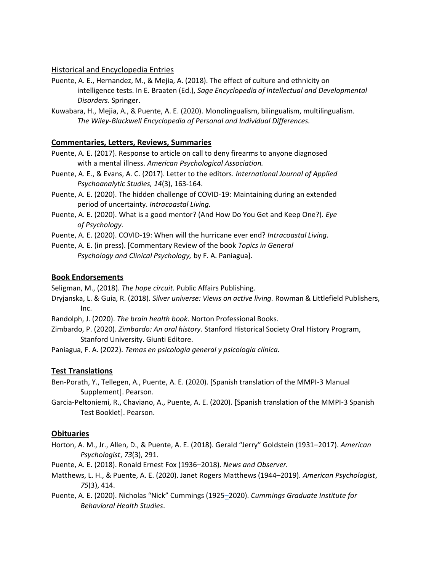## Historical and Encyclopedia Entries

- Puente, A. E., Hernandez, M., & Mejia, A. (2018). The effect of culture and ethnicity on intelligence tests. In E. Braaten (Ed.), *Sage Encyclopedia of Intellectual and Developmental Disorders.* Springer.
- Kuwabara, H., Mejia, A., & Puente, A. E. (2020). Monolingualism, bilingualism, multilingualism. *The Wiley-Blackwell Encyclopedia of Personal and Individual Differences.*

## **Commentaries, Letters, Reviews, Summaries**

- Puente, A. E. (2017). Response to article on call to deny firearms to anyone diagnosed with a mental illness. *American Psychological Association.*
- Puente, A. E., & Evans, A. C. (2017). Letter to the editors. *International Journal of Applied Psychoanalytic Studies, 14*(3), 163-164.
- Puente, A. E. (2020). The hidden challenge of COVID-19: Maintaining during an extended period of uncertainty. *Intracoastal Living.*
- Puente, A. E. (2020). What is a good mentor? (And How Do You Get and Keep One?). *Eye of Psychology.*
- Puente, A. E. (2020). COVID-19: When will the hurricane ever end? *Intracoastal Living.*

Puente, A. E. (in press). [Commentary Review of the book *Topics in General Psychology and Clinical Psychology,* by F. A. Paniagua].

#### **Book Endorsements**

Seligman, M., (2018). *The hope circuit.* Public Affairs Publishing.

Dryjanska, L. & Guia, R. (2018). *Silver universe: Views on active living.* Rowman & Littlefield Publishers, Inc.

Randolph, J. (2020). *The brain health book*. Norton Professional Books.

Zimbardo, P. (2020). *Zimbardo: An oral history.* Stanford Historical Society Oral History Program, Stanford University. Giunti Editore.

Paniagua, F. A. (2022). *Temas en psicología general y psicología clínica.* 

# **Test Translations**

Ben-Porath, Y., Tellegen, A., Puente, A. E. (2020). [Spanish translation of the MMPI-3 Manual Supplement]. Pearson.

Garcia-Peltoniemi, R., Chaviano, A., Puente, A. E. (2020). [Spanish translation of the MMPI-3 Spanish Test Booklet]. Pearson.

# **Obituaries**

Horton, A. M., Jr., Allen, D., & Puente, A. E. (2018). Gerald "Jerry" Goldstein (1931–2017). *American Psychologist*, *73*(3), 291.

Puente, A. E. (2018). Ronald Ernest Fox (1936–2018). *News and Observer.* 

- Matthews, L. H., & Puente, A. E. (2020). Janet Rogers Matthews (1944–2019). *American Psychologist*, *75*(3), 414.
- Puente, A. E. (2020). Nicholas "Nick" Cummings (192[5–](https://doi.apa.org/doiLanding?doi=10.1037%2Famp0000230)[20](https://doi.apa.org/doiLanding?doi=10.1037%2Famp0000230)20). *Cummings Graduate Institute for Behavioral Health Studies*.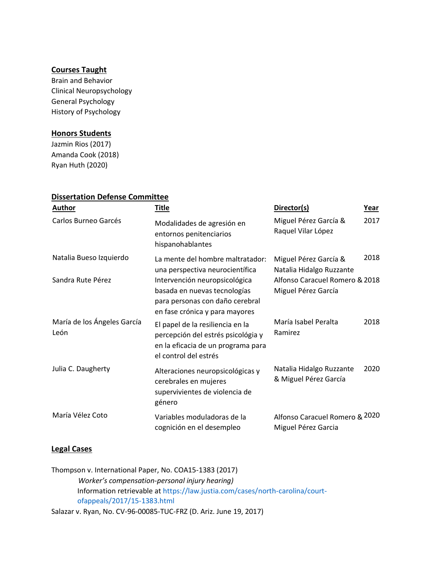# **Courses Taught**

Brain and Behavior Clinical Neuropsychology General Psychology History of Psychology

## **Honors Students**

Jazmin Rios (2017) Amanda Cook (2018) Ryan Huth (2020)

| <b>Dissertation Defense Committee</b> |                                                                                                                                       |                                                       |      |  |
|---------------------------------------|---------------------------------------------------------------------------------------------------------------------------------------|-------------------------------------------------------|------|--|
| Author                                | <b>Title</b>                                                                                                                          | Director(s)                                           | Year |  |
| Carlos Burneo Garcés                  | Modalidades de agresión en<br>entornos penitenciarios<br>hispanohablantes                                                             | Miguel Pérez García &<br>Raquel Vilar López           | 2017 |  |
| Natalia Bueso Izquierdo               | La mente del hombre maltratador:<br>una perspectiva neurocientífica                                                                   | Miguel Pérez García &<br>Natalia Hidalgo Ruzzante     | 2018 |  |
| Sandra Rute Pérez                     | Intervención neuropsicológica<br>basada en nuevas tecnologías<br>para personas con daño cerebral<br>en fase crónica y para mayores    | Alfonso Caracuel Romero & 2018<br>Miguel Pérez García |      |  |
| María de los Ángeles García<br>León   | El papel de la resiliencia en la<br>percepción del estrés psicológia y<br>en la eficacia de un programa para<br>el control del estrés | María Isabel Peralta<br>Ramirez                       | 2018 |  |
| Julia C. Daugherty                    | Alteraciones neuropsicológicas y<br>cerebrales en mujeres<br>supervivientes de violencia de<br>género                                 | Natalia Hidalgo Ruzzante<br>& Miguel Pérez García     | 2020 |  |
| María Vélez Coto                      | Variables moduladoras de la<br>cognición en el desempleo                                                                              | Alfonso Caracuel Romero & 2020<br>Miguel Pérez Garcia |      |  |

#### **Legal Cases**

Thompson v. International Paper, No. COA15-1383 (2017) *Worker's compensation-personal injury hearing)*  Information retrievable at [https://law.justia.com/cases/north-carolina/court](https://law.justia.com/cases/north-carolina/court-of-appeals/2017/15-1383.html)[ofappeals/2017/15-1383.html](https://law.justia.com/cases/north-carolina/court-of-appeals/2017/15-1383.html)

Salazar v. Ryan, No. CV-96-00085-TUC-FRZ (D. Ariz. June 19, 2017)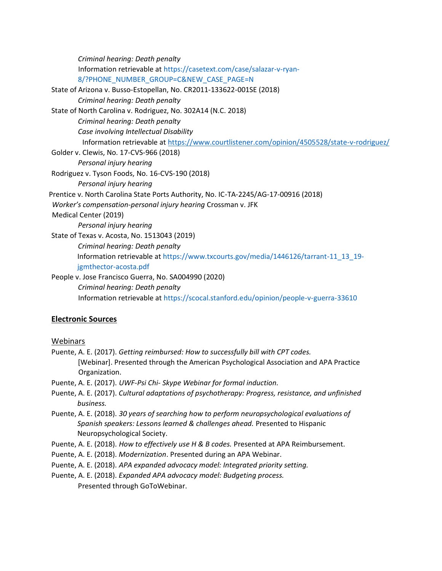| Criminal hearing: Death penalty                                                             |
|---------------------------------------------------------------------------------------------|
| Information retrievable at https://casetext.com/case/salazar-v-ryan-                        |
| 8/?PHONE_NUMBER_GROUP=C&NEW_CASE_PAGE=N                                                     |
| State of Arizona v. Busso-Estopellan, No. CR2011-133622-001SE (2018)                        |
| Criminal hearing: Death penalty                                                             |
| State of North Carolina v. Rodriguez, No. 302A14 (N.C. 2018)                                |
| Criminal hearing: Death penalty                                                             |
| Case involving Intellectual Disability                                                      |
| Information retrievable at https://www.courtlistener.com/opinion/4505528/state-v-rodriguez/ |
| Golder v. Clewis, No. 17-CVS-966 (2018)                                                     |
| Personal injury hearing                                                                     |
| Rodriguez v. Tyson Foods, No. 16-CVS-190 (2018)                                             |
| Personal injury hearing                                                                     |
| Prentice v. North Carolina State Ports Authority, No. IC-TA-2245/AG-17-00916 (2018)         |
| Worker's compensation-personal injury hearing Crossman v. JFK                               |
| Medical Center (2019)                                                                       |
| Personal injury hearing                                                                     |
| State of Texas v. Acosta, No. 1513043 (2019)                                                |
| Criminal hearing: Death penalty                                                             |
| Information retrievable at https://www.txcourts.gov/media/1446126/tarrant-11_13_19-         |
| jgmthector-acosta.pdf                                                                       |
| People v. Jose Francisco Guerra, No. SA004990 (2020)                                        |
| Criminal hearing: Death penalty                                                             |
| Information retrievable at https://scocal.stanford.edu/opinion/people-v-guerra-33610        |
|                                                                                             |

# **Electronic Sources**

## **Webinars**

- Puente, A. E. (2017). *Getting reimbursed: How to successfully bill with CPT codes.*  [Webinar]. Presented through the American Psychological Association and APA Practice Organization.
- Puente, A. E. (2017). *UWF-Psi Chi- Skype Webinar for formal induction.*
- Puente, A. E. (2017). *Cultural adaptations of psychotherapy: Progress, resistance, and unfinished business.*
- Puente, A. E. (2018). *30 years of searching how to perform neuropsychological evaluations of Spanish speakers: Lessons learned & challenges ahead.* Presented to Hispanic Neuropsychological Society.
- Puente, A. E. (2018). *How to effectively use H & B codes.* Presented at APA Reimbursement.
- Puente, A. E. (2018). *Modernization*. Presented during an APA Webinar.
- Puente, A. E. (2018). *APA expanded advocacy model: Integrated priority setting.*
- Puente, A. E. (2018). *Expanded APA advocacy model: Budgeting process.*

Presented through GoToWebinar.